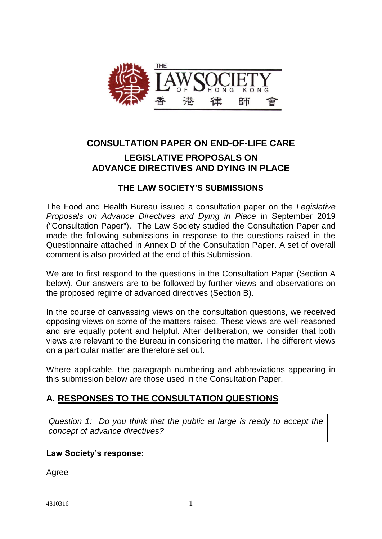

# **CONSULTATION PAPER ON END-OF-LIFE CARE LEGISLATIVE PROPOSALS ON ADVANCE DIRECTIVES AND DYING IN PLACE**

## **THE LAW SOCIETY'S SUBMISSIONS**

The Food and Health Bureau issued a consultation paper on the *Legislative Proposals on Advance Directives and Dying in Place* in September 2019 ("Consultation Paper"). The Law Society studied the Consultation Paper and made the following submissions in response to the questions raised in the Questionnaire attached in Annex D of the Consultation Paper. A set of overall comment is also provided at the end of this Submission.

We are to first respond to the questions in the Consultation Paper (Section A below). Our answers are to be followed by further views and observations on the proposed regime of advanced directives (Section B).

In the course of canvassing views on the consultation questions, we received opposing views on some of the matters raised. These views are well-reasoned and are equally potent and helpful. After deliberation, we consider that both views are relevant to the Bureau in considering the matter. The different views on a particular matter are therefore set out.

Where applicable, the paragraph numbering and abbreviations appearing in this submission below are those used in the Consultation Paper.

# **A. RESPONSES TO THE CONSULTATION QUESTIONS**

*Question 1: Do you think that the public at large is ready to accept the concept of advance directives?*

## **Law Society's response:**

Agree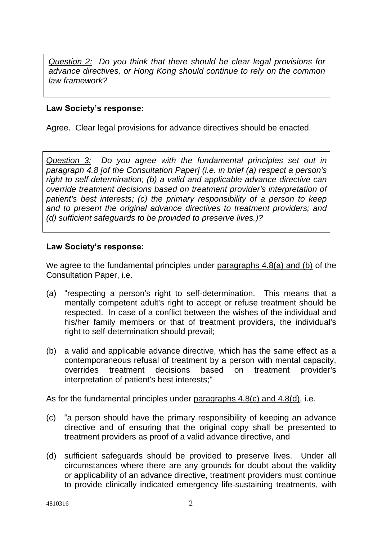*Question 2: Do you think that there should be clear legal provisions for advance directives, or Hong Kong should continue to rely on the common law framework?*

#### **Law Society's response:**

Agree. Clear legal provisions for advance directives should be enacted.

*Question 3: Do you agree with the fundamental principles set out in paragraph 4.8 [of the Consultation Paper] (i.e. in brief (a) respect a person's right to self-determination; (b) a valid and applicable advance directive can override treatment decisions based on treatment provider's interpretation of patient's best interests; (c) the primary responsibility of a person to keep and to present the original advance directives to treatment providers; and (d) sufficient safeguards to be provided to preserve lives.)?*

#### **Law Society's response:**

We agree to the fundamental principles under paragraphs 4.8(a) and (b) of the Consultation Paper, i.e.

- (a) "respecting a person's right to self-determination. This means that a mentally competent adult's right to accept or refuse treatment should be respected. In case of a conflict between the wishes of the individual and his/her family members or that of treatment providers, the individual's right to self-determination should prevail;
- (b) a valid and applicable advance directive, which has the same effect as a contemporaneous refusal of treatment by a person with mental capacity, overrides treatment decisions based on treatment provider's interpretation of patient's best interests;"

As for the fundamental principles under paragraphs 4.8(c) and 4.8(d), i.e.

- (c) "a person should have the primary responsibility of keeping an advance directive and of ensuring that the original copy shall be presented to treatment providers as proof of a valid advance directive, and
- (d) sufficient safeguards should be provided to preserve lives. Under all circumstances where there are any grounds for doubt about the validity or applicability of an advance directive, treatment providers must continue to provide clinically indicated emergency life-sustaining treatments, with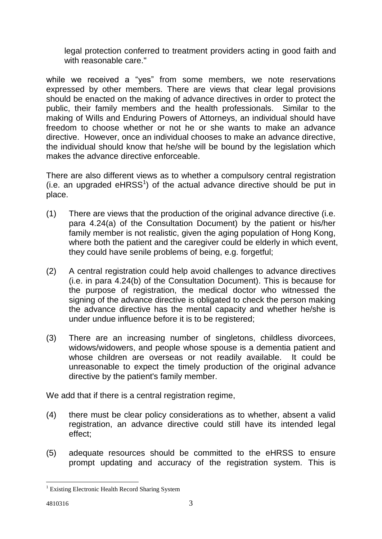legal protection conferred to treatment providers acting in good faith and with reasonable care."

while we received a "yes" from some members, we note reservations expressed by other members. There are views that clear legal provisions should be enacted on the making of advance directives in order to protect the public, their family members and the health professionals. Similar to the making of Wills and Enduring Powers of Attorneys, an individual should have freedom to choose whether or not he or she wants to make an advance directive. However, once an individual chooses to make an advance directive, the individual should know that he/she will be bound by the legislation which makes the advance directive enforceable.

There are also different views as to whether a compulsory central registration  $(i.e.$  an upgraded  $eHRSS<sup>1</sup>$  of the actual advance directive should be put in place.

- (1) There are views that the production of the original advance directive (i.e. para 4.24(a) of the Consultation Document) by the patient or his/her family member is not realistic, given the aging population of Hong Kong, where both the patient and the caregiver could be elderly in which event, they could have senile problems of being, e.g. forgetful;
- (2) A central registration could help avoid challenges to advance directives (i.e. in para 4.24(b) of the Consultation Document). This is because for the purpose of registration, the medical doctor who witnessed the signing of the advance directive is obligated to check the person making the advance directive has the mental capacity and whether he/she is under undue influence before it is to be registered;
- (3) There are an increasing number of singletons, childless divorcees, widows/widowers, and people whose spouse is a dementia patient and whose children are overseas or not readily available. It could be unreasonable to expect the timely production of the original advance directive by the patient's family member.

We add that if there is a central registration regime,

- (4) there must be clear policy considerations as to whether, absent a valid registration, an advance directive could still have its intended legal effect;
- (5) adequate resources should be committed to the eHRSS to ensure prompt updating and accuracy of the registration system. This is

1

<sup>&</sup>lt;sup>1</sup> Existing Electronic Health Record Sharing System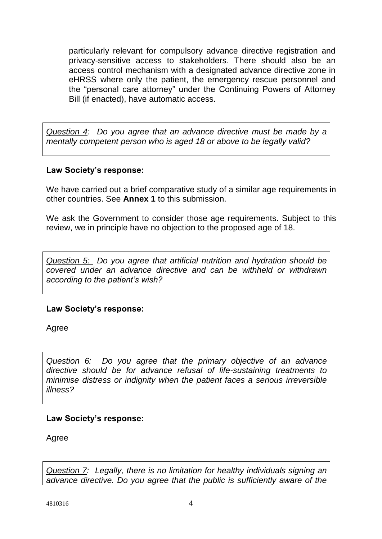particularly relevant for compulsory advance directive registration and privacy-sensitive access to stakeholders. There should also be an access control mechanism with a designated advance directive zone in eHRSS where only the patient, the emergency rescue personnel and the "personal care attorney" under the Continuing Powers of Attorney Bill (if enacted), have automatic access.

*Question 4: Do you agree that an advance directive must be made by a mentally competent person who is aged 18 or above to be legally valid?*

## **Law Society's response:**

We have carried out a brief comparative study of a similar age requirements in other countries. See **Annex 1** to this submission.

We ask the Government to consider those age requirements. Subject to this review, we in principle have no objection to the proposed age of 18.

*Question 5: Do you agree that artificial nutrition and hydration should be covered under an advance directive and can be withheld or withdrawn according to the patient's wish?*

## **Law Society's response:**

Agree

*Question 6: Do you agree that the primary objective of an advance directive should be for advance refusal of life-sustaining treatments to minimise distress or indignity when the patient faces a serious irreversible illness?*

## **Law Society's response:**

Agree

*Question 7: Legally, there is no limitation for healthy individuals signing an advance directive. Do you agree that the public is sufficiently aware of the*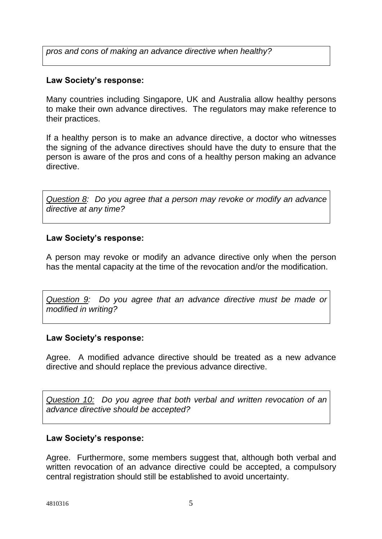*pros and cons of making an advance directive when healthy?*

## **Law Society's response:**

Many countries including Singapore, UK and Australia allow healthy persons to make their own advance directives. The regulators may make reference to their practices.

If a healthy person is to make an advance directive, a doctor who witnesses the signing of the advance directives should have the duty to ensure that the person is aware of the pros and cons of a healthy person making an advance directive.

*Question 8: Do you agree that a person may revoke or modify an advance directive at any time?*

#### **Law Society's response:**

A person may revoke or modify an advance directive only when the person has the mental capacity at the time of the revocation and/or the modification.

*Question 9: Do you agree that an advance directive must be made or modified in writing?*

#### **Law Society's response:**

Agree. A modified advance directive should be treated as a new advance directive and should replace the previous advance directive.

*Question 10: Do you agree that both verbal and written revocation of an advance directive should be accepted?*

## **Law Society's response:**

Agree. Furthermore, some members suggest that, although both verbal and written revocation of an advance directive could be accepted, a compulsory central registration should still be established to avoid uncertainty.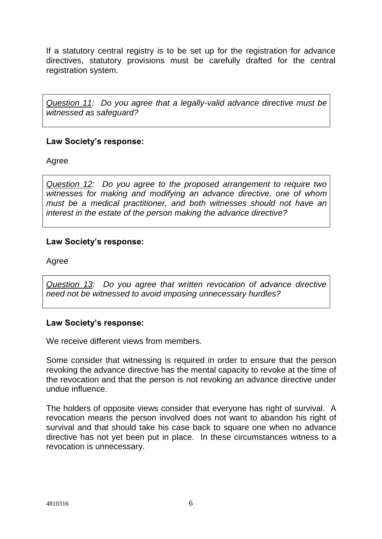If a statutory central registry is to be set up for the registration for advance directives, statutory provisions must be carefully drafted for the central registration system.

*Question 11: Do you agree that a legally-valid advance directive must be witnessed as safeguard?*

#### **Law Society's response:**

Agree

*Question 12: Do you agree to the proposed arrangement to require two witnesses for making and modifying an advance directive, one of whom must be a medical practitioner, and both witnesses should not have an interest in the estate of the person making the advance directive?*

#### **Law Society's response:**

Agree

*Question 13: Do you agree that written revocation of advance directive need not be witnessed to avoid imposing unnecessary hurdles?*

#### **Law Society's response:**

We receive different views from members.

Some consider that witnessing is required in order to ensure that the person revoking the advance directive has the mental capacity to revoke at the time of the revocation and that the person is not revoking an advance directive under undue influence.

The holders of opposite views consider that everyone has right of survival. A revocation means the person involved does not want to abandon his right of survival and that should take his case back to square one when no advance directive has not yet been put in place. In these circumstances witness to a revocation is unnecessary.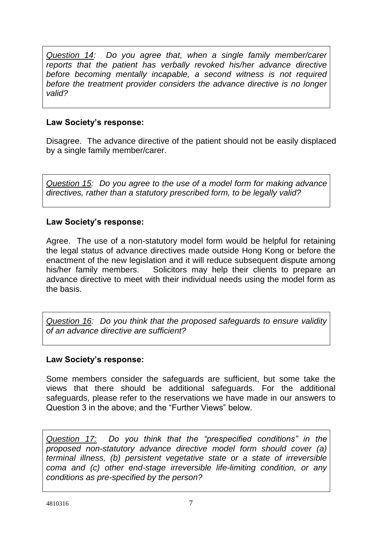*Question 14: Do you agree that, when a single family member/carer reports that the patient has verbally revoked his/her advance directive before becoming mentally incapable, a second witness is not required before the treatment provider considers the advance directive is no longer valid?*

## **Law Society's response:**

Disagree. The advance directive of the patient should not be easily displaced by a single family member/carer.

*Question 15: Do you agree to the use of a model form for making advance directives, rather than a statutory prescribed form, to be legally valid?*

## **Law Society's response:**

Agree. The use of a non-statutory model form would be helpful for retaining the legal status of advance directives made outside Hong Kong or before the enactment of the new legislation and it will reduce subsequent dispute among his/her family members. Solicitors may help their clients to prepare an advance directive to meet with their individual needs using the model form as the basis.

*Question 16: Do you think that the proposed safeguards to ensure validity of an advance directive are sufficient?*

## **Law Society's response:**

Some members consider the safeguards are sufficient, but some take the views that there should be additional safeguards. For the additional safeguards, please refer to the reservations we have made in our answers to Question 3 in the above; and the "Further Views" below.

*Question 17: Do you think that the "prespecified conditions" in the proposed non-statutory advance directive model form should cover (a) terminal illness, (b) persistent vegetative state or a state of irreversible coma and (c) other end-stage irreversible life-limiting condition, or any conditions as pre-specified by the person?*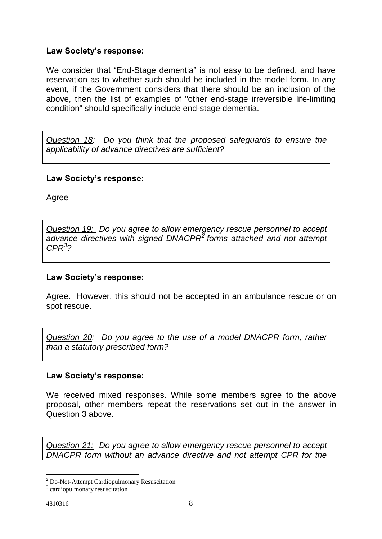## **Law Society's response:**

We consider that "End-Stage dementia" is not easy to be defined, and have reservation as to whether such should be included in the model form. In any event, if the Government considers that there should be an inclusion of the above, then the list of examples of "other end-stage irreversible life-limiting condition" should specifically include end-stage dementia.

*Question 18: Do you think that the proposed safeguards to ensure the applicability of advance directives are sufficient?*

#### **Law Society's response:**

Agree

*Question 19: Do you agree to allow emergency rescue personnel to accept advance directives with signed DNACPR<sup>2</sup> forms attached and not attempt CPR<sup>3</sup> ?*

#### **Law Society's response:**

Agree. However, this should not be accepted in an ambulance rescue or on spot rescue.

*Question 20: Do you agree to the use of a model DNACPR form, rather than a statutory prescribed form?*

## **Law Society's response:**

We received mixed responses. While some members agree to the above proposal, other members repeat the reservations set out in the answer in Question 3 above.

*Question 21: Do you agree to allow emergency rescue personnel to accept DNACPR form without an advance directive and not attempt CPR for the* 

<u>.</u>

<sup>2</sup> Do-Not-Attempt Cardiopulmonary Resuscitation

<sup>&</sup>lt;sup>3</sup> cardiopulmonary resuscitation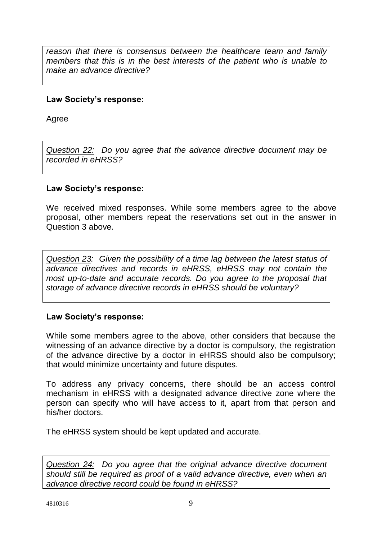*reason that there is consensus between the healthcare team and family members that this is in the best interests of the patient who is unable to make an advance directive?*

#### **Law Society's response:**

Agree

*Question 22: Do you agree that the advance directive document may be recorded in eHRSS?*

#### **Law Society's response:**

We received mixed responses. While some members agree to the above proposal, other members repeat the reservations set out in the answer in Question 3 above.

*Question 23: Given the possibility of a time lag between the latest status of advance directives and records in eHRSS, eHRSS may not contain the most up-to-date and accurate records. Do you agree to the proposal that storage of advance directive records in eHRSS should be voluntary?*

#### **Law Society's response:**

While some members agree to the above, other considers that because the witnessing of an advance directive by a doctor is compulsory, the registration of the advance directive by a doctor in eHRSS should also be compulsory; that would minimize uncertainty and future disputes.

To address any privacy concerns, there should be an access control mechanism in eHRSS with a designated advance directive zone where the person can specify who will have access to it, apart from that person and his/her doctors.

The eHRSS system should be kept updated and accurate.

*Question 24: Do you agree that the original advance directive document should still be required as proof of a valid advance directive, even when an advance directive record could be found in eHRSS?*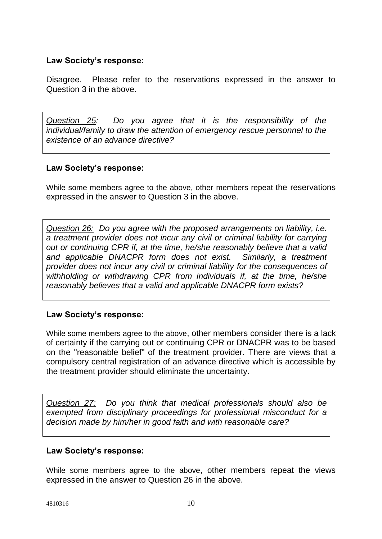#### **Law Society's response:**

Disagree. Please refer to the reservations expressed in the answer to Question 3 in the above.

*Question 25: Do you agree that it is the responsibility of the individual/family to draw the attention of emergency rescue personnel to the existence of an advance directive?*

#### **Law Society's response:**

While some members agree to the above, other members repeat the reservations expressed in the answer to Question 3 in the above.

*Question 26: Do you agree with the proposed arrangements on liability, i.e. a treatment provider does not incur any civil or criminal liability for carrying out or continuing CPR if, at the time, he/she reasonably believe that a valid and applicable DNACPR form does not exist. Similarly, a treatment provider does not incur any civil or criminal liability for the consequences of withholding or withdrawing CPR from individuals if, at the time, he/she reasonably believes that a valid and applicable DNACPR form exists?*

## **Law Society's response:**

While some members agree to the above, other members consider there is a lack of certainty if the carrying out or continuing CPR or DNACPR was to be based on the "reasonable belief" of the treatment provider. There are views that a compulsory central registration of an advance directive which is accessible by the treatment provider should eliminate the uncertainty.

*Question 27: Do you think that medical professionals should also be exempted from disciplinary proceedings for professional misconduct for a decision made by him/her in good faith and with reasonable care?*

#### **Law Society's response:**

While some members agree to the above, other members repeat the views expressed in the answer to Question 26 in the above.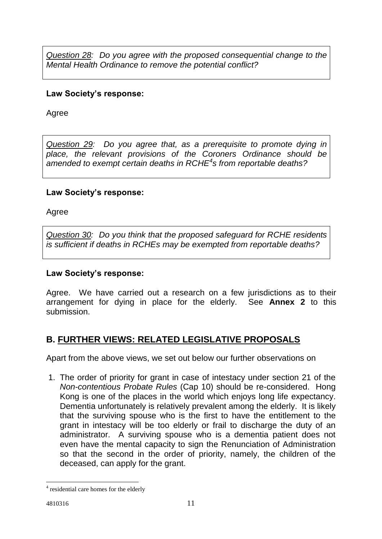*Question 28: Do you agree with the proposed consequential change to the Mental Health Ordinance to remove the potential conflict?*

## **Law Society's response:**

Agree

*Question 29: Do you agree that, as a prerequisite to promote dying in place, the relevant provisions of the Coroners Ordinance should be amended to exempt certain deaths in RCHE<sup>4</sup> s from reportable deaths?*

## **Law Society's response:**

Agree

*Question 30: Do you think that the proposed safeguard for RCHE residents is sufficient if deaths in RCHEs may be exempted from reportable deaths?*

## **Law Society's response:**

Agree. We have carried out a research on a few jurisdictions as to their arrangement for dying in place for the elderly. See **Annex 2** to this submission.

# **B. FURTHER VIEWS: RELATED LEGISLATIVE PROPOSALS**

Apart from the above views, we set out below our further observations on

1. The order of priority for grant in case of intestacy under section 21 of the *Non-contentious Probate Rules* (Cap 10) should be re-considered. Hong Kong is one of the places in the world which enjoys long life expectancy. Dementia unfortunately is relatively prevalent among the elderly. It is likely that the surviving spouse who is the first to have the entitlement to the grant in intestacy will be too elderly or frail to discharge the duty of an administrator. A surviving spouse who is a dementia patient does not even have the mental capacity to sign the Renunciation of Administration so that the second in the order of priority, namely, the children of the deceased, can apply for the grant.

<sup>1</sup> <sup>4</sup> residential care homes for the elderly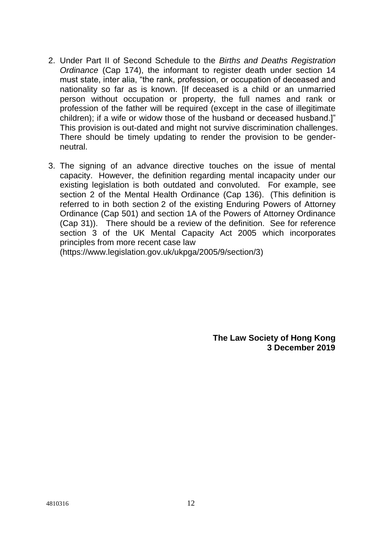- 2. Under Part II of Second Schedule to the *Births and Deaths Registration Ordinance* (Cap 174), the informant to register death under section 14 must state, inter alia, "the rank, profession, or occupation of deceased and nationality so far as is known. [If deceased is a child or an unmarried person without occupation or property, the full names and rank or profession of the father will be required (except in the case of illegitimate children); if a wife or widow those of the husband or deceased husband.]" This provision is out-dated and might not survive discrimination challenges. There should be timely updating to render the provision to be genderneutral.
- 3. The signing of an advance directive touches on the issue of mental capacity. However, the definition regarding mental incapacity under our existing legislation is both outdated and convoluted. For example, see section 2 of the Mental Health Ordinance (Cap 136). (This definition is referred to in both section 2 of the existing Enduring Powers of Attorney Ordinance (Cap 501) and section 1A of the Powers of Attorney Ordinance (Cap 31)). There should be a review of the definition. See for reference section 3 of the UK Mental Capacity Act 2005 which incorporates principles from more recent case law

[\(https://www.legislation.gov.uk/ukpga/2005/9/section/3\)](https://www.legislation.gov.uk/ukpga/2005/9/section/3)

**The Law Society of Hong Kong 3 December 2019**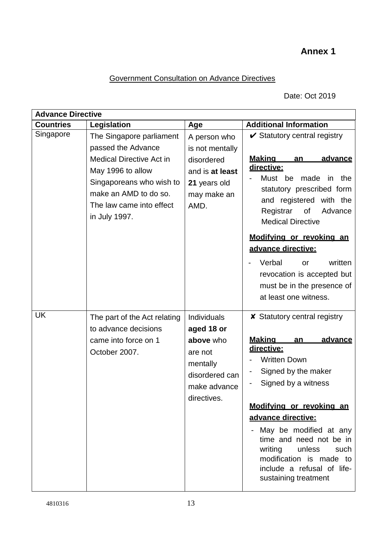# **Annex 1**

# Government Consultation on Advance Directives

Date: Oct 2019

| <b>Advance Directive</b> |                                                                                                                                                                                                          |                                                                                                                       |                                                                                                                                                                                                                                                                                                                                                                            |
|--------------------------|----------------------------------------------------------------------------------------------------------------------------------------------------------------------------------------------------------|-----------------------------------------------------------------------------------------------------------------------|----------------------------------------------------------------------------------------------------------------------------------------------------------------------------------------------------------------------------------------------------------------------------------------------------------------------------------------------------------------------------|
| <b>Countries</b>         | Legislation                                                                                                                                                                                              | Age                                                                                                                   | <b>Additional Information</b>                                                                                                                                                                                                                                                                                                                                              |
| Singapore                | The Singapore parliament<br>passed the Advance<br><b>Medical Directive Act in</b><br>May 1996 to allow<br>Singaporeans who wish to<br>make an AMD to do so.<br>The law came into effect<br>in July 1997. | A person who<br>is not mentally<br>disordered<br>and is at least<br>21 years old<br>may make an<br>AMD.               | $\checkmark$ Statutory central registry<br><b>Making</b><br>advance<br>an<br>directive:<br>Must be<br>made<br>in the<br>statutory prescribed form<br>and registered with the<br>of<br>Advance<br>Registrar<br><b>Medical Directive</b><br>Modifying or revoking an<br>advance directive:                                                                                   |
|                          |                                                                                                                                                                                                          |                                                                                                                       | written<br>Verbal<br>or<br>revocation is accepted but<br>must be in the presence of<br>at least one witness.                                                                                                                                                                                                                                                               |
| <b>UK</b>                | The part of the Act relating<br>to advance decisions<br>came into force on 1<br>October 2007.                                                                                                            | <b>Individuals</b><br>aged 18 or<br>above who<br>are not<br>mentally<br>disordered can<br>make advance<br>directives. | <b>x</b> Statutory central registry<br><u>Making</u><br>advance<br>an<br>directive:<br><b>Written Down</b><br>Signed by the maker<br>Signed by a witness<br>Modifying or revoking an<br>advance directive:<br>May be modified at any<br>time and need not be in<br>writing unless<br>such<br>modification is made to<br>include a refusal of life-<br>sustaining treatment |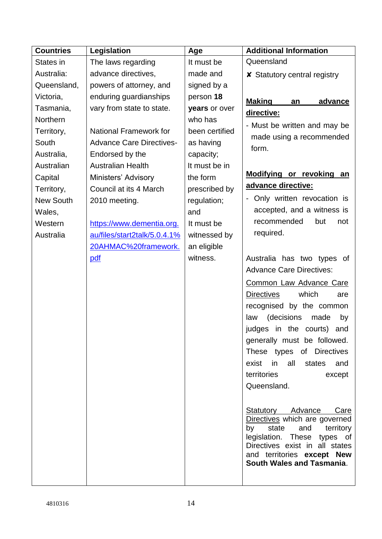| <b>Countries</b> | Legislation                     | Age            | <b>Additional Information</b>                                  |
|------------------|---------------------------------|----------------|----------------------------------------------------------------|
| States in        | The laws regarding              | It must be     | Queensland                                                     |
| Australia:       | advance directives,             | made and       | <b>x</b> Statutory central registry                            |
| Queensland,      | powers of attorney, and         | signed by a    |                                                                |
| Victoria,        | enduring guardianships          | person 18      | <b>Making</b><br>advance<br>an                                 |
| Tasmania,        | vary from state to state.       | years or over  | directive:                                                     |
| Northern         |                                 | who has        | - Must be written and may be                                   |
| Territory,       | <b>National Framework for</b>   | been certified | made using a recommended                                       |
| South            | <b>Advance Care Directives-</b> | as having      | form.                                                          |
| Australia,       | Endorsed by the                 | capacity;      |                                                                |
| Australian       | <b>Australian Health</b>        | It must be in  |                                                                |
| Capital          | Ministers' Advisory             | the form       | Modifying or revoking an                                       |
| Territory,       | Council at its 4 March          | prescribed by  | advance directive:                                             |
| <b>New South</b> | 2010 meeting.                   | regulation;    | - Only written revocation is                                   |
| Wales,           |                                 | and            | accepted, and a witness is                                     |
| Western          | https://www.dementia.org.       | It must be     | recommended<br>but<br>not                                      |
| Australia        | au/files/start2talk/5.0.4.1%    | witnessed by   | required.                                                      |
|                  | 20AHMAC%20framework.            | an eligible    |                                                                |
|                  | pdf                             | witness.       | Australia has two types of                                     |
|                  |                                 |                | <b>Advance Care Directives:</b>                                |
|                  |                                 |                | Common Law Advance Care                                        |
|                  |                                 |                | <b>Directives</b><br>which<br>are                              |
|                  |                                 |                | recognised by the common                                       |
|                  |                                 |                | (decisions<br>law<br>made<br>by                                |
|                  |                                 |                | judges in the courts)<br>and                                   |
|                  |                                 |                | generally must be followed.                                    |
|                  |                                 |                | These types of Directives                                      |
|                  |                                 |                | exist in all states<br>and                                     |
|                  |                                 |                | territories<br>except                                          |
|                  |                                 |                | Queensland.                                                    |
|                  |                                 |                |                                                                |
|                  |                                 |                | Statutory Advance<br>Care                                      |
|                  |                                 |                | Directives which are governed<br>by                            |
|                  |                                 |                | state<br>and<br>territory<br>legislation. These types of       |
|                  |                                 |                | Directives exist in all states                                 |
|                  |                                 |                | and territories except New<br><b>South Wales and Tasmania.</b> |
|                  |                                 |                |                                                                |
|                  |                                 |                |                                                                |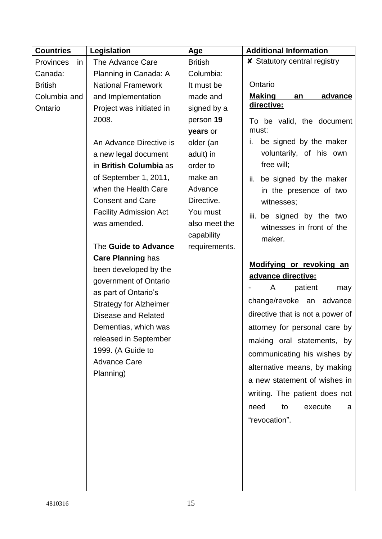| <b>Countries</b> | Legislation                   | Age            | <b>Additional Information</b>       |
|------------------|-------------------------------|----------------|-------------------------------------|
| Provinces<br>in  | <b>The Advance Care</b>       | <b>British</b> | <b>X</b> Statutory central registry |
| Canada:          | Planning in Canada: A         | Columbia:      |                                     |
| <b>British</b>   | <b>National Framework</b>     | It must be     | Ontario                             |
| Columbia and     | and Implementation            | made and       | <b>Making</b><br>advance<br>an      |
| Ontario          | Project was initiated in      | signed by a    | directive:                          |
|                  | 2008.                         | person 19      | To be valid, the document           |
|                  |                               | years or       | must:                               |
|                  | An Advance Directive is       | older (an      | be signed by the maker<br>i.        |
|                  | a new legal document          | adult) in      | voluntarily, of his own             |
|                  | in British Columbia as        | order to       | free will;                          |
|                  | of September 1, 2011,         | make an        | ii.<br>be signed by the maker       |
|                  | when the Health Care          | Advance        | in the presence of two              |
|                  | <b>Consent and Care</b>       | Directive.     | witnesses;                          |
|                  | <b>Facility Admission Act</b> | You must       | iii. be signed by the two           |
|                  | was amended.                  | also meet the  | witnesses in front of the           |
|                  |                               | capability     | maker.                              |
|                  | The Guide to Advance          | requirements.  |                                     |
|                  | <b>Care Planning has</b>      |                |                                     |
|                  | been developed by the         |                | Modifying or revoking an            |
|                  | government of Ontario         |                | advance directive:                  |
|                  | as part of Ontario's          |                | patient<br>A<br>may                 |
|                  | <b>Strategy for Alzheimer</b> |                | change/revoke an advance            |
|                  | <b>Disease and Related</b>    |                | directive that is not a power of    |
|                  | Dementias, which was          |                | attorney for personal care by       |
|                  | released in September         |                | making oral statements, by          |
|                  | 1999. (A Guide to             |                | communicating his wishes by         |
|                  | <b>Advance Care</b>           |                |                                     |
|                  | Planning)                     |                | alternative means, by making        |
|                  |                               |                | a new statement of wishes in        |
|                  |                               |                | writing. The patient does not       |
|                  |                               |                | need<br>execute<br>to<br>a          |
|                  |                               |                | "revocation".                       |
|                  |                               |                |                                     |
|                  |                               |                |                                     |
|                  |                               |                |                                     |
|                  |                               |                |                                     |
|                  |                               |                |                                     |
|                  |                               |                |                                     |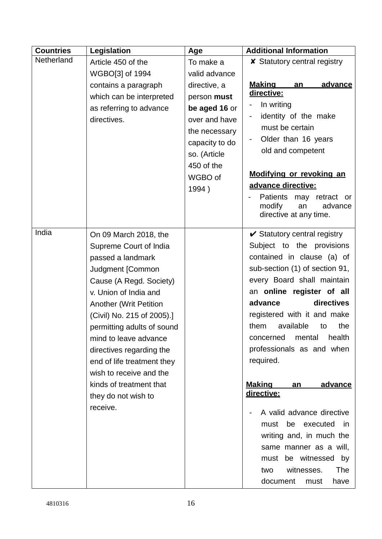| <b>Countries</b> | Legislation                   | Age            | <b>Additional Information</b>                      |
|------------------|-------------------------------|----------------|----------------------------------------------------|
| Netherland       | Article 450 of the            | To make a      | <b>x</b> Statutory central registry                |
|                  | WGBO[3] of 1994               | valid advance  |                                                    |
|                  | contains a paragraph          | directive, a   | <u>Makinq</u><br>advance<br>an                     |
|                  | which can be interpreted      | person must    | directive:                                         |
|                  | as referring to advance       | be aged 16 or  | In writing                                         |
|                  | directives.                   | over and have  | identity of the make<br>-                          |
|                  |                               | the necessary  | must be certain                                    |
|                  |                               | capacity to do | Older than 16 years                                |
|                  |                               | so. (Article   | old and competent                                  |
|                  |                               | 450 of the     |                                                    |
|                  |                               | WGBO of        | Modifying or revoking an                           |
|                  |                               | 1994)          | advance directive:                                 |
|                  |                               |                | Patients may retract or<br>modify<br>advance<br>an |
|                  |                               |                | directive at any time.                             |
|                  |                               |                |                                                    |
| India            | On 09 March 2018, the         |                | $\checkmark$ Statutory central registry            |
|                  | Supreme Court of India        |                | Subject to the provisions                          |
|                  | passed a landmark             |                | contained in clause (a) of                         |
|                  | Judgment [Common              |                | sub-section (1) of section 91,                     |
|                  | Cause (A Regd. Society)       |                | every Board shall maintain                         |
|                  | v. Union of India and         |                | an online register of all                          |
|                  | <b>Another (Writ Petition</b> |                | directives<br>advance                              |
|                  | (Civil) No. 215 of 2005).]    |                | registered with it and make                        |
|                  | permitting adults of sound    |                | them<br>available<br>the<br>to                     |
|                  | mind to leave advance         |                | health<br>concerned<br>mental                      |
|                  | directives regarding the      |                | professionals as and when                          |
|                  | end of life treatment they    |                | required.                                          |
|                  | wish to receive and the       |                |                                                    |
|                  | kinds of treatment that       |                | <u>Making</u><br>advance<br>an                     |
|                  | they do not wish to           |                | directive:                                         |
|                  | receive.                      |                | A valid advance directive                          |
|                  |                               |                | must<br>be executed<br>in.                         |
|                  |                               |                | writing and, in much the                           |
|                  |                               |                | same manner as a will,                             |
|                  |                               |                | must be witnessed by                               |
|                  |                               |                | witnesses.<br>The<br>two                           |
|                  |                               |                | document                                           |
|                  |                               |                | have<br>must                                       |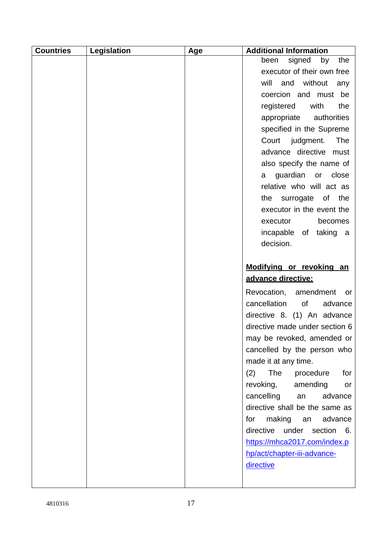| <b>Countries</b> | Legislation | Age | <b>Additional Information</b>  |
|------------------|-------------|-----|--------------------------------|
|                  |             |     | signed<br>by<br>the<br>been    |
|                  |             |     | executor of their own free     |
|                  |             |     | will<br>and<br>without<br>any  |
|                  |             |     | coercion and must be           |
|                  |             |     | the<br>registered<br>with      |
|                  |             |     | appropriate<br>authorities     |
|                  |             |     | specified in the Supreme       |
|                  |             |     | <b>The</b><br>Court judgment.  |
|                  |             |     | advance directive must         |
|                  |             |     | also specify the name of       |
|                  |             |     | guardian or<br>close<br>a      |
|                  |             |     | relative who will act as       |
|                  |             |     | surrogate of<br>the<br>the     |
|                  |             |     | executor in the event the      |
|                  |             |     | executor<br>becomes            |
|                  |             |     | incapable of<br>taking a       |
|                  |             |     | decision.                      |
|                  |             |     |                                |
|                  |             |     | Modifying or revoking an       |
|                  |             |     | advance directive:             |
|                  |             |     | Revocation, amendment<br>or    |
|                  |             |     | cancellation<br>of<br>advance  |
|                  |             |     | directive 8. (1) An advance    |
|                  |             |     | directive made under section 6 |
|                  |             |     | may be revoked, amended or     |
|                  |             |     | cancelled by the person who    |
|                  |             |     | made it at any time.           |
|                  |             |     | The<br>(2)<br>procedure<br>for |
|                  |             |     | revoking,<br>amending<br>or    |
|                  |             |     | cancelling<br>advance<br>an    |
|                  |             |     | directive shall be the same as |
|                  |             |     | making<br>an<br>advance<br>for |
|                  |             |     | directive under section 6.     |
|                  |             |     | https://mhca2017.com/index.p   |
|                  |             |     | hp/act/chapter-iii-advance-    |
|                  |             |     | directive                      |
|                  |             |     |                                |
|                  |             |     |                                |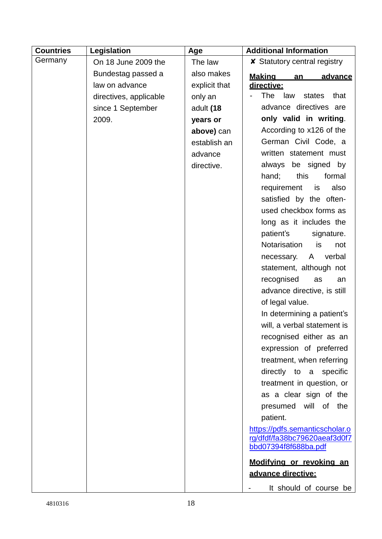| <b>Countries</b> | Legislation            | Age           | <b>Additional Information</b>                                                          |
|------------------|------------------------|---------------|----------------------------------------------------------------------------------------|
| Germany          | On 18 June 2009 the    | The law       | <b>X</b> Statutory central registry                                                    |
|                  | Bundestag passed a     | also makes    | <u>Making</u><br>advance<br>an                                                         |
|                  | law on advance         | explicit that | directive:                                                                             |
|                  | directives, applicable | only an       | <b>The</b><br>law<br>that<br>states                                                    |
|                  | since 1 September      | adult (18     | advance directives are                                                                 |
|                  | 2009.                  | years or      | only valid in writing.                                                                 |
|                  |                        | above) can    | According to x126 of the                                                               |
|                  |                        | establish an  | German Civil Code, a                                                                   |
|                  |                        | advance       | written statement must                                                                 |
|                  |                        | directive.    | be signed by<br>always                                                                 |
|                  |                        |               | hand;<br>this<br>formal                                                                |
|                  |                        |               | requirement<br>also<br>is                                                              |
|                  |                        |               | satisfied by the often-                                                                |
|                  |                        |               | used checkbox forms as                                                                 |
|                  |                        |               | long as it includes the                                                                |
|                  |                        |               | patient's<br>signature.                                                                |
|                  |                        |               | Notarisation<br>is<br>not                                                              |
|                  |                        |               | verbal<br>necessary.<br>A                                                              |
|                  |                        |               | statement, although not                                                                |
|                  |                        |               | recognised<br>as<br>an                                                                 |
|                  |                        |               | advance directive, is still                                                            |
|                  |                        |               | of legal value.                                                                        |
|                  |                        |               | In determining a patient's                                                             |
|                  |                        |               | will, a verbal statement is                                                            |
|                  |                        |               | recognised either as an                                                                |
|                  |                        |               | expression of preferred                                                                |
|                  |                        |               | treatment, when referring                                                              |
|                  |                        |               | directly to a specific                                                                 |
|                  |                        |               | treatment in question, or                                                              |
|                  |                        |               | as a clear sign of the                                                                 |
|                  |                        |               | presumed will of the                                                                   |
|                  |                        |               | patient.                                                                               |
|                  |                        |               | https://pdfs.semanticscholar.o<br>rg/dfdf/fa38bc79620aeaf3d0f7<br>bbd07394f8f688ba.pdf |
|                  |                        |               | Modifving or revoking an                                                               |
|                  |                        |               | advance directive:                                                                     |
|                  |                        |               | It should of course be                                                                 |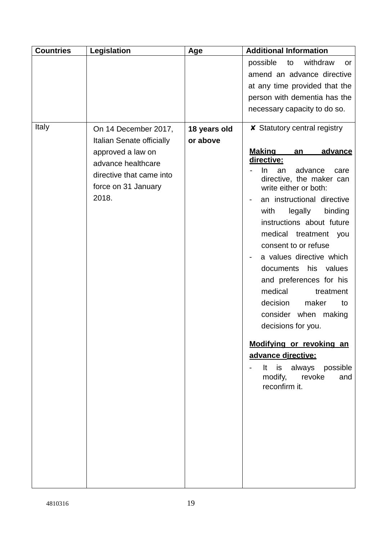| <b>Countries</b> | Legislation                                     | Age          | <b>Additional Information</b>                                                     |
|------------------|-------------------------------------------------|--------------|-----------------------------------------------------------------------------------|
|                  |                                                 |              | possible<br>withdraw<br>to<br>or                                                  |
|                  |                                                 |              | amend an advance directive                                                        |
|                  |                                                 |              | at any time provided that the                                                     |
|                  |                                                 |              | person with dementia has the                                                      |
|                  |                                                 |              | necessary capacity to do so.                                                      |
| Italy            | On 14 December 2017,                            | 18 years old | <b>X</b> Statutory central registry                                               |
|                  | Italian Senate officially                       | or above     |                                                                                   |
|                  | approved a law on                               |              | <b>Making</b><br>advance<br>an                                                    |
|                  | advance healthcare                              |              | directive:                                                                        |
|                  | directive that came into<br>force on 31 January |              | advance<br>In.<br>an<br>care<br>directive, the maker can<br>write either or both: |
|                  | 2018.                                           |              | an instructional directive                                                        |
|                  |                                                 |              | legally<br>binding<br>with                                                        |
|                  |                                                 |              | instructions about future                                                         |
|                  |                                                 |              | medical treatment you                                                             |
|                  |                                                 |              | consent to or refuse                                                              |
|                  |                                                 |              | a values directive which                                                          |
|                  |                                                 |              | his<br>documents<br>values                                                        |
|                  |                                                 |              | and preferences for his                                                           |
|                  |                                                 |              | medical<br>treatment                                                              |
|                  |                                                 |              | maker<br>decision<br>to                                                           |
|                  |                                                 |              | consider when making                                                              |
|                  |                                                 |              | decisions for you.                                                                |
|                  |                                                 |              | Modifying or revoking an                                                          |
|                  |                                                 |              | advance directive:                                                                |
|                  |                                                 |              | It is always possible<br>modify, revoke<br>and                                    |
|                  |                                                 |              | reconfirm it.                                                                     |
|                  |                                                 |              |                                                                                   |
|                  |                                                 |              |                                                                                   |
|                  |                                                 |              |                                                                                   |
|                  |                                                 |              |                                                                                   |
|                  |                                                 |              |                                                                                   |
|                  |                                                 |              |                                                                                   |
|                  |                                                 |              |                                                                                   |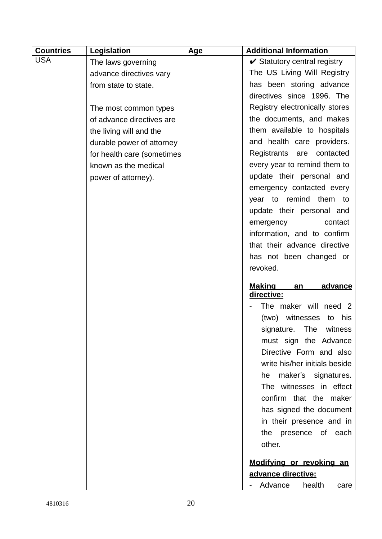| <b>Countries</b> | Legislation                | Age | <b>Additional Information</b>           |
|------------------|----------------------------|-----|-----------------------------------------|
| <b>USA</b>       | The laws governing         |     | $\checkmark$ Statutory central registry |
|                  | advance directives vary    |     | The US Living Will Registry             |
|                  | from state to state.       |     | has been storing advance                |
|                  |                            |     | directives since 1996. The              |
|                  | The most common types      |     | Registry electronically stores          |
|                  | of advance directives are  |     | the documents, and makes                |
|                  | the living will and the    |     | them available to hospitals             |
|                  | durable power of attorney  |     | and health care providers.              |
|                  | for health care (sometimes |     | Registrants are contacted               |
|                  | known as the medical       |     | every year to remind them to            |
|                  | power of attorney).        |     | update their personal and               |
|                  |                            |     | emergency contacted every               |
|                  |                            |     | year to remind them to                  |
|                  |                            |     | update their personal and               |
|                  |                            |     | emergency<br>contact                    |
|                  |                            |     | information, and to confirm             |
|                  |                            |     | that their advance directive            |
|                  |                            |     | has not been changed or                 |
|                  |                            |     | revoked.                                |
|                  |                            |     | <u>Making</u><br>advance<br>an          |
|                  |                            |     | directive:                              |
|                  |                            |     | The maker will need 2                   |
|                  |                            |     | (two) witnesses<br>his<br>to            |
|                  |                            |     | The<br>signature.<br>witness            |
|                  |                            |     | must sign the Advance                   |
|                  |                            |     | Directive Form and also                 |
|                  |                            |     | write his/her initials beside           |
|                  |                            |     | maker's signatures.<br>he               |
|                  |                            |     | The witnesses in effect                 |
|                  |                            |     | confirm that the maker                  |
|                  |                            |     | has signed the document                 |
|                  |                            |     | in their presence and in                |
|                  |                            |     | the presence of each                    |
|                  |                            |     | other.                                  |
|                  |                            |     | Modifying or revoking an                |
|                  |                            |     | advance directive:                      |
|                  |                            |     | Advance<br>health<br>care <sub>1</sub>  |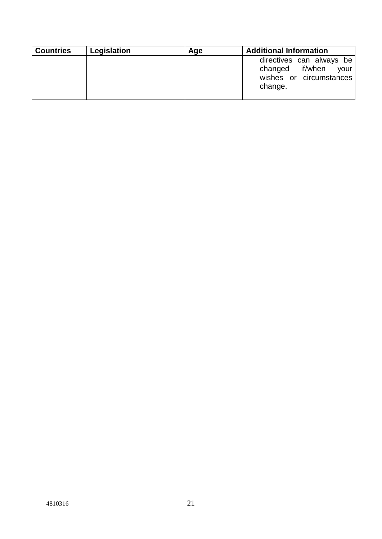| <b>Countries</b> | Legislation | Age | <b>Additional Information</b>                                                             |
|------------------|-------------|-----|-------------------------------------------------------------------------------------------|
|                  |             |     | directives can always be<br>your<br>changed if/when<br>wishes or circumstances<br>change. |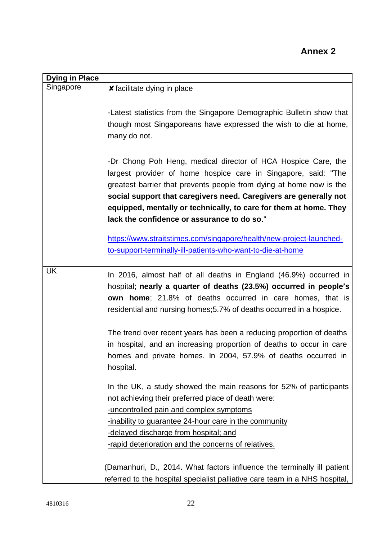| <b>Dying in Place</b> |                                                                                                                                                                                                                                                                                                                                                                                                 |
|-----------------------|-------------------------------------------------------------------------------------------------------------------------------------------------------------------------------------------------------------------------------------------------------------------------------------------------------------------------------------------------------------------------------------------------|
| Singapore             | <b><i>x</i></b> facilitate dying in place                                                                                                                                                                                                                                                                                                                                                       |
|                       | -Latest statistics from the Singapore Demographic Bulletin show that<br>though most Singaporeans have expressed the wish to die at home,<br>many do not.                                                                                                                                                                                                                                        |
|                       | -Dr Chong Poh Heng, medical director of HCA Hospice Care, the<br>largest provider of home hospice care in Singapore, said: "The<br>greatest barrier that prevents people from dying at home now is the<br>social support that caregivers need. Caregivers are generally not<br>equipped, mentally or technically, to care for them at home. They<br>lack the confidence or assurance to do so." |
|                       | https://www.straitstimes.com/singapore/health/new-project-launched-                                                                                                                                                                                                                                                                                                                             |
|                       | to-support-terminally-ill-patients-who-want-to-die-at-home                                                                                                                                                                                                                                                                                                                                      |
| <b>UK</b>             | In 2016, almost half of all deaths in England (46.9%) occurred in<br>hospital; nearly a quarter of deaths (23.5%) occurred in people's<br><b>own home</b> ; 21.8% of deaths occurred in care homes, that is<br>residential and nursing homes; 5.7% of deaths occurred in a hospice.                                                                                                             |
|                       | The trend over recent years has been a reducing proportion of deaths<br>in hospital, and an increasing proportion of deaths to occur in care<br>homes and private homes. In 2004, 57.9% of deaths occurred in<br>hospital.                                                                                                                                                                      |
|                       | In the UK, a study showed the main reasons for 52% of participants<br>not achieving their preferred place of death were:<br>-uncontrolled pain and complex symptoms<br>-inability to guarantee 24-hour care in the community<br>-delayed discharge from hospital; and                                                                                                                           |
|                       | -rapid deterioration and the concerns of relatives.                                                                                                                                                                                                                                                                                                                                             |
|                       | (Damanhuri, D., 2014. What factors influence the terminally ill patient<br>referred to the hospital specialist palliative care team in a NHS hospital,                                                                                                                                                                                                                                          |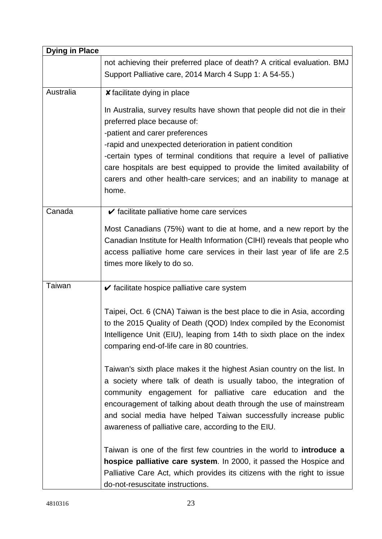| <b>Dying in Place</b> |                                                                                                                                                                                                                                                                                                                                                                                                                                               |
|-----------------------|-----------------------------------------------------------------------------------------------------------------------------------------------------------------------------------------------------------------------------------------------------------------------------------------------------------------------------------------------------------------------------------------------------------------------------------------------|
|                       | not achieving their preferred place of death? A critical evaluation. BMJ<br>Support Palliative care, 2014 March 4 Supp 1: A 54-55.)                                                                                                                                                                                                                                                                                                           |
| Australia             | <b>x</b> facilitate dying in place                                                                                                                                                                                                                                                                                                                                                                                                            |
|                       | In Australia, survey results have shown that people did not die in their<br>preferred place because of:<br>-patient and carer preferences<br>-rapid and unexpected deterioration in patient condition<br>-certain types of terminal conditions that require a level of palliative<br>care hospitals are best equipped to provide the limited availability of<br>carers and other health-care services; and an inability to manage at<br>home. |
| Canada                | $\checkmark$ facilitate palliative home care services                                                                                                                                                                                                                                                                                                                                                                                         |
|                       | Most Canadians (75%) want to die at home, and a new report by the<br>Canadian Institute for Health Information (CIHI) reveals that people who<br>access palliative home care services in their last year of life are 2.5<br>times more likely to do so.                                                                                                                                                                                       |
| <b>Taiwan</b>         | $\checkmark$ facilitate hospice palliative care system                                                                                                                                                                                                                                                                                                                                                                                        |
|                       | Taipei, Oct. 6 (CNA) Taiwan is the best place to die in Asia, according<br>to the 2015 Quality of Death (QOD) Index compiled by the Economist<br>Intelligence Unit (EIU), leaping from 14th to sixth place on the index<br>comparing end-of-life care in 80 countries.                                                                                                                                                                        |
|                       | Taiwan's sixth place makes it the highest Asian country on the list. In<br>a society where talk of death is usually taboo, the integration of<br>community engagement for palliative care education and the<br>encouragement of talking about death through the use of mainstream<br>and social media have helped Taiwan successfully increase public<br>awareness of palliative care, according to the EIU.                                  |
|                       | Taiwan is one of the first few countries in the world to introduce a<br>hospice palliative care system. In 2000, it passed the Hospice and<br>Palliative Care Act, which provides its citizens with the right to issue<br>do-not-resuscitate instructions.                                                                                                                                                                                    |